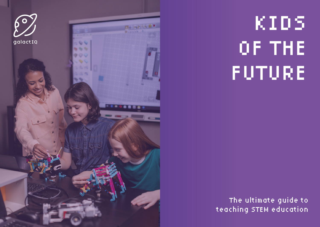

# KIDS OF THE FUTURE

### The ultimate guide to teaching STEM education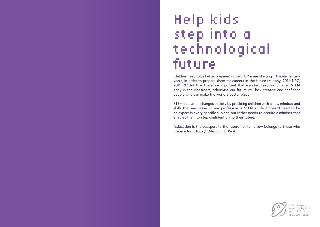### Help kids step into a technological future

Children need to be better prepared in the STEM areas starting in the elementary years, in order to prepare them for careers in the future (Murphy, 2011; NRC, 2011, 2013a). It is therefore important that we start teaching children STEM early in the classroom, otherwise our future will lack creative and confident people who can make the world a better place.

STEM education changes society by providing children with a new mindset and skills that are valued in any profession. A STEM student doesn't need to be an expert in every specific subject, but rather needs to acquire a mindset that enables them to step confidently into their future.

"Education is the passport to the future, for tomorrow belongs to those who prepare for it today" (Malcolm X, 1964).



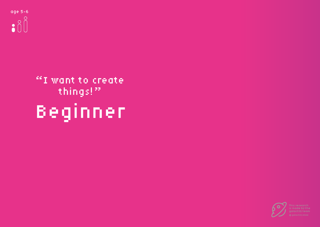## Beginner "I want to create things!"

age 5-6  $\bullet$  80



is made by t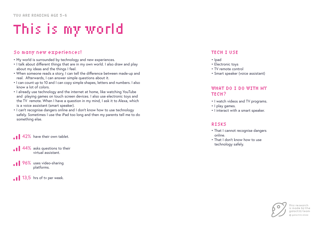- My world is surrounded by technology and new experiences.
- I talk about different things that are in my own world. I also draw and play about my ideas and the things I feel.
- When someone reads a story, I can tell the difference between made-up and real. Afterwards, I can answer simple questions about it.
- I can count up to 10 and I can copy simple shapes, letters and numbers. I also know a lot of colors.
- I already use technology and the internet at home, like watching YouTube and playing games on touch screen devices. I also use electronic toys and the TV remote. When I have a question in my mind, I ask it to Alexa, which is a voice assistant (smart speaker).
- I can't recognise dangers online and I don't know how to use technology safely. Sometimes I use the iPad too long and then my parents tell me to do something else.

### So many new experiences! TECH I USE

- Ipad
- Electronic toys
- TV remote control
- Smart speaker (voice assistant)

### WHAT DO I DO WITH MY TECH?

- I watch videos and TV programs.
- I play games.
- I interact with a smart speaker.

#### RISKS

- That I cannot recognise dangers online.
- That I don't know how to use technology safely.



## This is my world

42% have their own tablet.

- $44\%$  asks questions to their virtual assistant.
- **196%** uses video-sharing platforms.
- $\bullet$  13,5 hrs of tv per week.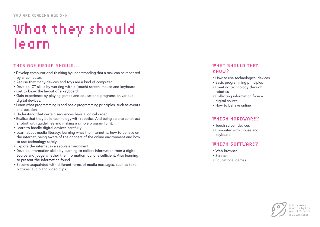### What they should learn

#### WHAT SHOULD THEY KNOW?

- How to use technological devices
- Basic programming principles
- Creating technology through robotics
- Collecting information from a digital source
- How to behave online

### WHICH HARDWARE?

- Touch screen devices
- Computer with mouse and keyboard

### WHICH SOFTWARE?

- Web browser
- Scratch
- Educational games



- Develop computational thinking by understanding that a task can be repeated by a computer.
- Realise that many devices and toys are a kind of computer.
- Develop ICT skills by working with a (touch) screen, mouse and keyboard.
- Get to know the layout of a keyboard.
- Gain experience by playing games and educational programs on various digital devices.
- Learn what programming is and basic programming principles, such as events and position.
- Understand that certain sequences have a logical order.
- Realise that they build technology with robotics. And being able to construct a robot with guidelines and making a simple program for it.
- Learn to handle digital devices carefully.
- Learn about media literacy; learning what the internet is, how to behave on the internet, being aware of the dangers of the online environment and how to use technology safely.
- Explore the internet in a secure environment.
- Develop information skills by learning to collect information from a digital source and judge whether the information found is sufficient. Also learning to present the information found.
- Become acquainted with different forms of media messages, such as text, pictures, audio and video clips.

### THIS AGE GROUP SHOULD...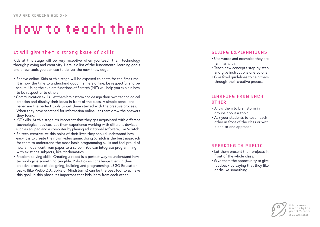### How to teach them

Kids at this stage will be very receptive when you teach them technology through playing and creativity. Here is a list of the fundamental learning goals and a few tools you can use to deliver the new knowledge:

- Behave online. Kids at this stage will be exposed to chats for the first time. It is now the time to understand good manners online, be respectful and be secure. Using the explore functions of Scratch (MIT) will help you explain how to be respectful to others.
- Communication skills. Let them brainstorm and design their own technological creation and display their ideas in front of the class. A simple pencil and paper are the perfect tools to get them started with the creative process. When they have searched for information online, let them draw the answers they found.
- ICT skills. At this stage it's important that they get acquainted with different technological devices. Let them experience working with different devices such as an ipad and a computer by playing educational software, like Scratch.
- Be tech-creative. At this point of their lives they should understand how easy it is to create their own video game. Using Scratch is the best approach for them to understand the most basic programming skills and feel proud of how an idea went from paper to a screen. You can integrate programming with existings subjects, like Mathematics.
- Problem-solving skills. Creating a robot is a perfect way to understand how technology is something tangible. Robotics will challenge them in their creative process of designing, building and programming. LEGO Education packs (like WeDo 2.0., Spike or Mindstorms) can be the best tool to achieve this goal. In this phase it's important that kids learn from each other.

### It will give them a strong base of skills

- Use words and examples they are familiar with.
- Teach new concepts step by step and give instructions one by one.
- Give fixed guidelines to help them through their creative process.

- Allow them to brainstorm in groups about a topic.
- Ask your students to teach each other in front of the class or with a one-to-one approach.

- Let them present their projects in front of the whole class.
- Give them the opportunity to give feedback by saying that they like or dislike something.



### GIVING EXPLANATIONS

### LEARNING FROM EACH OTHER

### SPEAKING IN PUBLIC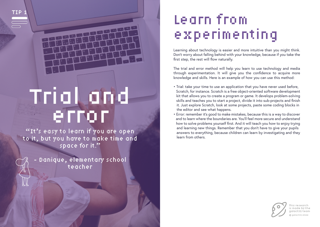# Trial and error

"It's easy to learn if you are open to it, but you have to make time and space for it."

Danique, elementary school teacher

Learning about technology is easier and more intuitive than you might think. Don't worry about falling behind with your knowledge, because if you take the first step, the rest will flow naturally.

The trial and error method will help you learn to use technology and media through experimentation. It will give you the confidence to acquire more knowledge and skills. Here is an example of how you can use this method:

> 'his research is made by the galactIQ team galactIQ 2022

- Trial: take your time to use an application that you have never used before, Scratch, for instance. Scratch is a free object-oriented software development kit that allows you to create a program or game. It develops problem-solving skills and teaches you to start a project, divide it into sub-projects and finish it. Just explore Scratch, look at some projects, paste some coding blocks in the editor and see what happens.
- Error: remember it's good to make mistakes, because this is a way to discover and to learn where the boundaries are. You'll feel more secure and understand how to solve problems yourself first. And it will teach you how to enjoy trying and learning new things. Remember that you don't have to give your pupils answers to everything, because children can learn by investigating and they learn from others.



## Learn from experimenting

TIP 1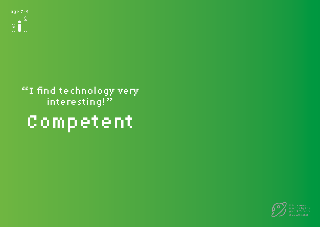## Competent "I find technology very interesting!"



is made by the galactIQ team galactIQ 2022

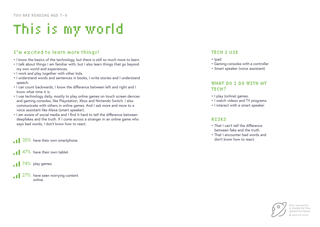- I know the basics of the technology, but there is still so much more to learn.
- I talk about things I am familiar with, but I also learn things that go beyond my own world and experiences.
- I work and play together with other kids.
- I understand words and sentences in books, I write stories and I understand speech.
- I can count backwards, I know the difference between left and right and I know what time it is.
- I use technology daily, mostly to play online games on touch screen devices and gaming consoles, like Playstation, Xbox and Nintendo Switch. I also communicate with others in online games. And I ask more and more to a voice assistant like Alexa (smart speaker).
- I am aware of social media and I find it hard to tell the difference between deepfakes and the truth. If I come across a stranger in an online game who says bad words, I don't know how to react.

 $27\%$  have seen worrying content online.

- Ipad
- Gaming consoles with a controller
- Smart speaker (voice assistant)

### WHAT DO I DO WITH MY TECH?

- I play (online) games.
- I watch videos and TV programs.
- I interact with a smart speaker.

### RISKS

- That I can't tell the difference between fake and the truth.
- That I encounter bad words and



## This is my world

### I'm excited to learn more things! TECH I USE

35% don't know how to react. have their own smartphone.

**1** 47% have their own tablet.

174% play games.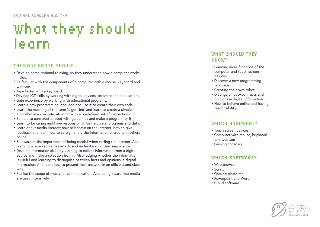### What they should learn

### WHAT SHOULD THEY KNOW?

- Learning more functions of the computer and touch screen devices
- Discover a new programming language
- Creating their own robot
- Distinguish between facts and opinions in digital information
- responsibility

• How to behave online and having



### WHICH HARDWARE?

- Touch screen devices
- Computer with mouse, keyboard and webcam
- Gaming consoles

#### WHICH SOFTWARE?

- Web browser
- Scratch
- Gaming platforms
- Powerpoint and Word
- Cloud software

- Develop computational thinking, so they understand how a computer works inside.
- Be familiar with the components of a computer with a mouse, keyboard and webcam.
- Type faster with a keyboard.
- Develop ICT skills by working with digital devices, software and applications.
- Gain experience by working with educational programs.
- Learn a new programming language and use it to create their own code.
- Learn the meaning of the term "algorithm" and learn to create a simple algorithm in a concrete situation with a predefined set of instructions.
- Be able to construct a robot with guidelines and make a program for it.
- Learn to be caring and have responsibility for hardware, programs and data.
- Learn about media literacy; how to behave on the internet, how to give feedback and learn how to safely handle the information shared with others online.
- Be aware of the importance of being careful when surfing the internet. Also learning to use secure passwords and understanding their importance.
- Develop information skills by learning to collect information from a digital source and make a selection from it. Also judging whether the information is useful and learning to distinguish between facts and opinions in digital information. And learn how to present their answers in an efficient and clear way.
- Realise the scope of media for communication. Also being aware that media are used intensively.

#### THIS AGE GROUP SHOULD...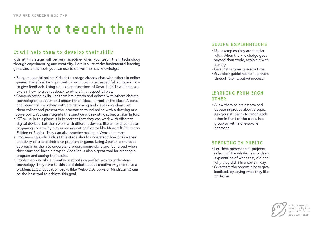### How to teach them

Kids at this stage will be very receptive when you teach them technology through experimenting and creativity. Here is a list of the fundamental learning goals and a few tools you can use to deliver the new knowledge:

- Being respectful online. Kids at this stage already chat with others in online games. Therefore it is important to learn how to be respectful online and how to give feedback. Using the explore functions of Scratch (MIT) will help you explain how to give feedback to others in a respectful way.
- Communication skills. Let them brainstorm and debate with others about a technological creation and present their ideas in front of the class. A pencil and paper will help them with brainstorming and visualising ideas. Let them collect and present the information found online with a drawing or a powerpoint. You can integrate this practice with existing subjects, like History.
- ICT skills. In this phase it is important that they can work with different digital devices. Let them work with different devices like an ipad, computer or gaming console by playing an educational game like Minecraft Education Edition or Roblox. They can also practice making a Word document.
- Programming skills. Kids at this stage should understand how to use their creativity to create their own program or game. Using Scratch is the best approach for them to understand programming skills and feel proud when they start and finish a project. CodePen is also a great tool for creating a program and seeing the results.
- Problem-solving skills. Creating a robot is a perfect way to understand technology. They have to think and debate about creative ways to solve a problem. LEGO Education packs (like WeDo 2.0., Spike or Mindstorms) can be the best tool to achieve this goal.

### It will help them to develop their skills • Use examples they are familiar

- with. When the knowledge goes beyond their world, explain it with a story.
- Give instructions one at a time.
- Give clear guidelines to help them through their creative process.

- Allow them to brainstorm and debate in groups about a topic.
- Ask your students to teach each other in front of the class, in a group or with a one-to-one approach.

- Let them present their projects in front of the whole class with an explanation of what they did and why they did it in a certain way.
- feedback by saying what they like or dislike.

• Give them the opportunity to give



#### GIVING EXPLANATIONS

### LEARNING FROM EACH OTHER

#### SPEAKING IN PUBLIC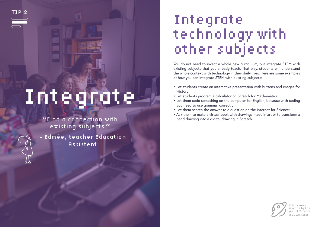# Integrate

"Find a connection with existing subjects."

- Edmée, teacher Education Assistent

You do not need to invent a whole new curriculum, but integrate STEM with existing subjects that you already teach. That way, students will understand the whole context with technology in their daily lives. Here are some examples of how you can integrate STEM with existing subjects:

- Let students create an interactive presentation with buttons and images for History;
- Let students program a calculator on Scratch for Mathematics;
- Let them code something on the computer for English, because with coding you need to use grammar correctly;
- Let them search the answer to a question on the internet for Science;
- Ask them to make a virtual book with drawings made in art or to transform a hand drawing into a digital drawing in Scratch.



### Integrate technology with other subjects

This research is made by the galactIQ team galactIQ 2022

TIP 2

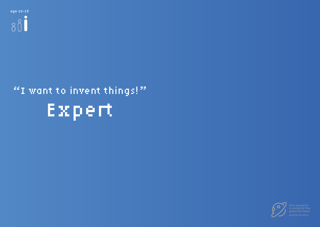

## Expert "I want to invent things!"



is made by  $\operatorname{\mathsf{th}}$ aalactIO team galactIQ 2022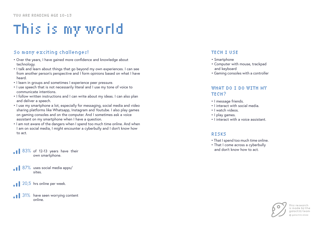- Over the years, I have gained more confidence and knowledge about technology.
- I talk and learn about things that go beyond my own experiences. I can see from another person's perspective and I form opinions based on what I have heard.
- I learn in groups and sometimes I experience peer pressure.
- I use speech that is not necessarily literal and I use my tone of voice to communicate intentions.
- I follow written instructions and I can write about my ideas. I can also plan and deliver a speech.
- I use my smartphone a lot, especially for messaging, social media and video sharing platforms like Whatsapp, Instagram and Youtube. I also play games on gaming consoles and on the computer. And I sometimes ask a voice assistant on my smartphone when I have a question.
- I am not aware of the dangers when I spend too much time online. And when I am on social media, I might encounter a cyberbully and I don't know how to act.

 $31\%$  have seen worrying content online.

- Smartphone
- Computer with mouse, trackpad and keyboard
- 

• Gaming consoles with a controller



### WHAT DO I DO WITH MY TECH?

- I message friends.
- I interact with social media.
- I watch videos.
- I play games.
- I interact with a voice assistant.

#### RISKS

- That I spend too much time online.
- That I come across a cyberbully

## This is my world

### So many exciting challenges! TECH I USE

 and don't know how to act. 83% of 12-13 years have their own smartphone.

87% uses social media apps/ sites.

20,5 hrs online per week.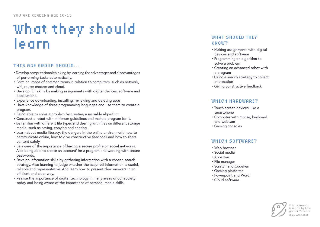### KNOW?

- Making assignments with digital devices and software
- Programming an algorithm to solve a problem
- Creating an advanced robot with a program
- Using a search strategy to collect information
- Giving constructive feedback

#### WHICH HARDWARE?

- Touch screen devices, like a smartphone
- Computer with mouse, keyboard and webcam
- Gaming consoles

#### WHICH SOFTWARE?

- Web browser
- Social media
- Appstore
- File manager
- Scratch and CodePen
- Gaming platforms
- Powerpoint and Word
- Cloud software



- Develop computational thinking by learning the advantages and disadvantages of performing tasks automatically.
- Form an image of common terms in relation to computers, such as network, wifi, router modem and cloud.
- Develop ICT skills by making assignments with digital devices, software and applications.
- Experience downloading, installing, reviewing and deleting apps.
- Have knowledge of three programming languages and use them to create a program.
- Being able to solve a problem by creating a reusable algorithm.
- Construct a robot with minimum guidelines and make a program for it.
- Be familiar with different file types and dealing with files on different storage media, such as saving, copying and sharing.
- Learn about media literacy; the dangers in the online environment, how to communicate online, how to give constructive feedback and how to share content safely.
- Be aware of the importance of having a secure profile on social networks. Also being able to create an 'account' for a program and working with secure passwords.
- Develop information skills by gathering information with a chosen search strategy. Also learning to judge whether the acquired information is useful, reliable and representative. And learn how to present their answers in an efficient and clear way.
- Realise the importance of digital technology in many areas of our society today and being aware of the importance of personal media skills.

#### THIS AGE GROUP SHOULD...

### What they should WHAT SHOULD THEY<br>  $\begin{matrix} \bullet & \bullet & \bullet \ \bullet & \bullet & \bullet \end{matrix}$ <br>  $\begin{matrix} \bullet & \bullet & \bullet \ \bullet & \bullet & \bullet \end{matrix}$ <br>  $\begin{matrix} \bullet & \bullet & \bullet \ \bullet & \bullet & \bullet \end{matrix}$ <br>  $\begin{matrix} \bullet & \bullet & \bullet \ \bullet & \bullet & \bullet \end{matrix}$ <br>  $\begin{matrix} \bullet & \bullet & \bullet \ \bullet & \bullet & \bullet \end{matrix}$ <br>  $\begin{matrix} \bullet & \bullet & \bullet \ \bullet & \bullet & \bullet \end{matrix}$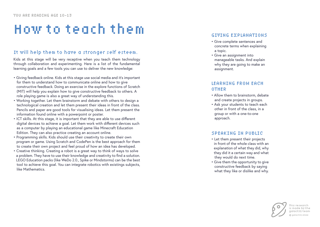### How to teach them

Kids at this stage will be very receptive when you teach them technology through collaboration and experimenting. Here is a list of the fundamental learning goals and a few tools you can use to deliver the new knowledge:

- Giving feedback online. Kids at this stage use social media and it's important for them to understand how to communicate online and how to give constructive feedback. Doing an exercise in the explore functions of Scratch (MIT) will help you explain how to give constructive feedback to others. A role playing game is also a great way of understanding this.
- Working together. Let them brainstorm and debate with others to design a technological creation and let them present their ideas in front of the class. Pencils and paper are good tools for visualising ideas. Let them present the information found online with a powerpoint or poster.
- ICT skills. At this stage, it is important that they are able to use different digital devices to achieve a goal. Let them work with different devices such as a computer by playing an educational game like Minecraft Education Edition. They can also practice creating an account online.
- Programming skills. Kids should use their creativity to create their own program or game. Using Scratch and CodePen is the best approach for them to create their own project and feel proud of how an idea has developed.
- Creative thinking. Creating a robot is a great way to think of ways to solve a problem. They have to use their knowledge and creativity to find a solution. LEGO Education packs (like WeDo 2.0., Spike or Mindstorms) can be the best tool to achieve this goal. You can integrate robotics with existings subjects, like Mathematics.

### It will help them to have a stronger self esteem.

- Give complete sentences and concrete terms when explaining a topic.
- Give an assignment into manageable tasks. And explain why they are going to make an assignment.

- Allow them to brainstorm, debate and create projects in groups.
- Ask your students to teach each other in front of the class, in a group or with a one-to-one approach.

- Let them present their projects in front of the whole class with an explanation of what they did, why they did it a certain way and what they would do next time.
- Give them the opportunity to give constructive feedback by saying what they like or dislike and why.



### GIVING EXPLANATIONS

### LEARNING FROM EACH OTHER

### SPEAKING IN PUBLIC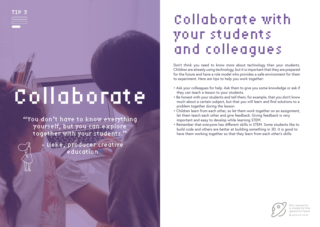# Collaborate

"You don't have to know everything yourself, but you can explore together with your students."



Lieke, producer creative education

Don't think you need to know more about technology than your students. Children are already using technology, but it is important that they are prepared for the future and have a role model who provides a safe environment for them to experiment. Here are tips to help you work together:

> 'his research is made by the galactIQ team galactIQ 2022

- Ask your colleagues for help. Ask them to give you some knowledge or ask if they can teach a lesson to your students.
- Be honest with your students and tell them, for example, that you don't know much about a certain subject, but that you will learn and find solutions to a problem together during the lesson.
- Children learn from each other, so let them work together on an assignment, let them teach each other and give feedback. Giving feedback is very important and easy to develop while learning STEM.
- Remember that everyone has different skills in STEM. Some students like to build code and others are better at building something in 3D. It is good to have them working together so that they learn from each other's skills.



## Collaborate with your students and colleagues

TIP 3